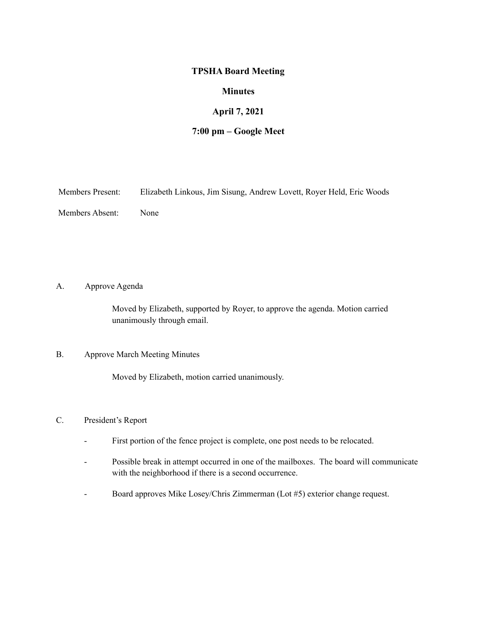## **TPSHA Board Meeting**

## **Minutes**

## **April 7, 2021**

# **7:00 pm – Google Meet**

| <b>Members Present:</b> |  |  |  | Elizabeth Linkous, Jim Sisung, Andrew Lovett, Royer Held, Eric Woods |
|-------------------------|--|--|--|----------------------------------------------------------------------|
|-------------------------|--|--|--|----------------------------------------------------------------------|

Members Absent: None

A. Approve Agenda

Moved by Elizabeth, supported by Royer, to approve the agenda. Motion carried unanimously through email.

#### B. Approve March Meeting Minutes

Moved by Elizabeth, motion carried unanimously.

### C. President's Report

- First portion of the fence project is complete, one post needs to be relocated.
- Possible break in attempt occurred in one of the mailboxes. The board will communicate with the neighborhood if there is a second occurrence.
- Board approves Mike Losey/Chris Zimmerman (Lot #5) exterior change request.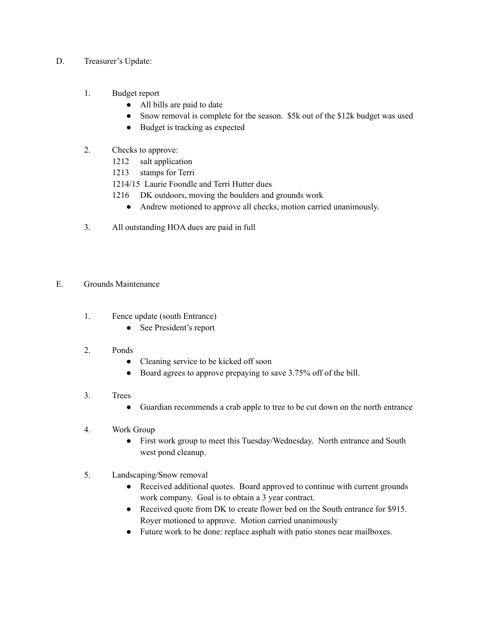- D. Treasurer's Update:
	- 1. Budget report
		- All bills are paid to date
		- Snow removal is complete for the season. \$5k out of the \$12k budget was used
		- Budget is tracking as expected
	- 2. Checks to approve:
		- 1212 salt application
		- 1213 stamps for Terri
		- 1214/15 Laurie Foondle and Terri Hutter dues
		- 1216 DK outdoors, moving the boulders and grounds work
			- Andrew motioned to approve all checks, motion carried unanimously.
	- 3. All outstanding HOA dues are paid in full
- E. Grounds Maintenance
	- 1. Fence update (south Entrance)
		- See President's report
	- 2. Ponds
		- Cleaning service to be kicked off soon
		- Board agrees to approve prepaying to save 3.75% off of the bill.
	- 3. Trees
		- Guardian recommends a crab apple to tree to be cut down on the north entrance
	- 4. Work Group
		- First work group to meet this Tuesday/Wednesday. North entrance and South west pond cleanup.
	- 5. Landscaping/Snow removal
		- Received additional quotes. Board approved to continue with current grounds work company. Goal is to obtain a 3 year contract.
		- Received quote from DK to create flower bed on the South entrance for \$915. Royer motioned to approve. Motion carried unanimously
		- Future work to be done: replace asphalt with patio stones near mailboxes.